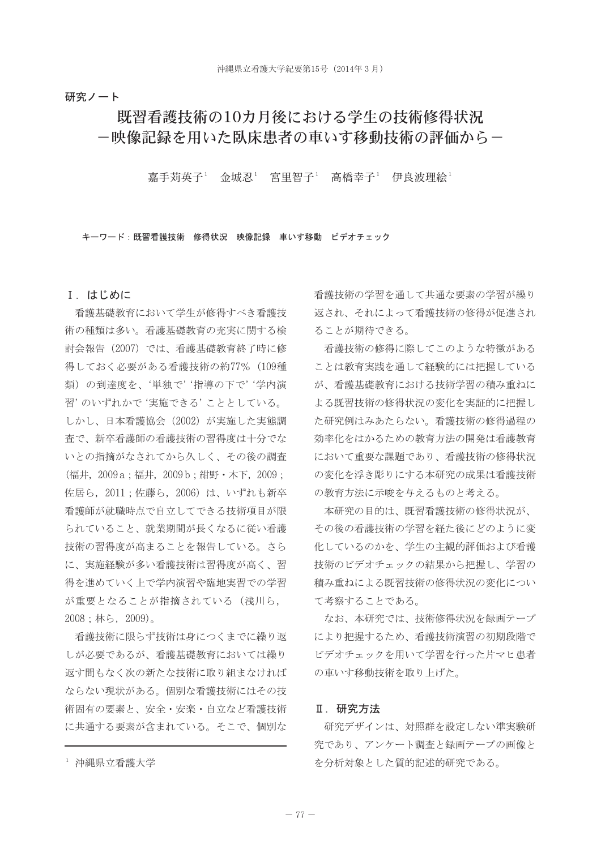# 研究ノート

# 既習看護技術の10カ月後における学生の技術修得状況 -映像記録を用いた臥床患者の車いす移動技術の評価から-

嘉手苅英子<sup>1</sup> 金城忍<sup>1</sup> 宮里智子<sup>1</sup> 高橋幸子<sup>1</sup> 伊良波理絵<sup>1</sup>

キーワード:既習看護技術 修得状況 映像記録 車いす移動 ビデオチェック

# I. はじめに

看護基礎教育において学生が修得すべき看護技 術の種類は多い。看護基礎教育の充実に関する検 討会報告 (2007) では、看護基礎教育終了時に修 得しておく必要がある看護技術の約77% (109種 類)の到達度を、'単独で''指導の下で''学内演 習'のいずれかで '実施できる' こととしている。 しかし、日本看護協会 (2002) が実施した実態調 杏で、新卒看護師の看護技術の習得度は十分でな いとの指摘がなされてから久しく、その後の調査 (福井, 2009 a; 福井, 2009 b; 紺野 · 木下, 2009; 佐居ら、2011:佐藤ら、2006)は、いずれも新卒 看護師が就職時点で自立してできる技術項目が限 られていること、就業期間が長くなるに従い看護 技術の習得度が高まることを報告している。さら に、実施経験が多い看護技術は習得度が高く、習 得を進めていく上で学内演習や臨地実習での学習 が重要となることが指摘されている (浅川ら, 2008;林ら, 2009)。

看護技術に限らず技術は身につくまでに繰り返 しが必要であるが、看護基礎教育においては繰り 返す間もなく次の新たな技術に取り組まなければ ならない現状がある。個別な看護技術にはその技 術固有の要素と、安全・安楽・自立など看護技術 に共通する要素が含まれている。そこで、個別な 看護技術の学習を通して共通な要素の学習が繰り 返され、それによって看護技術の修得が促進され ることが期待できる。

看護技術の修得に際してこのような特徴がある ことは教育実践を通して経験的には把握している が、看護基礎教育における技術学習の積み重ねに よる既習技術の修得状況の変化を実証的に把握し た研究例はみあたらない。看護技術の修得過程の 効率化をはかるための教育方法の開発は看護教育 において重要な課題であり、看護技術の修得状況 の変化を浮き彫りにする本研究の成果は看護技術 の教育方法に示唆を与えるものと考える。

本研究の目的は、既習看護技術の修得状況が、 その後の看護技術の学習を経た後にどのように変 化しているのかを、学生の主観的評価および看護 技術のビデオチェックの結果から把握し、学習の 積み重ねによる既習技術の修得状況の変化につい て考察することである。

なお、本研究では、技術修得状況を録画テープ により把握するため、看護技術演習の初期段階で ビデオチェックを用いて学習を行った片マヒ患者 の車いす移動技術を取り上げた。

#### Ⅱ. 研究方法

研究デザインは、対照群を設定しない準実験研 究であり、アンケート調査と録画テープの画像と を分析対象とした質的記述的研究である。

<sup>1</sup> 沖縄県立看護大学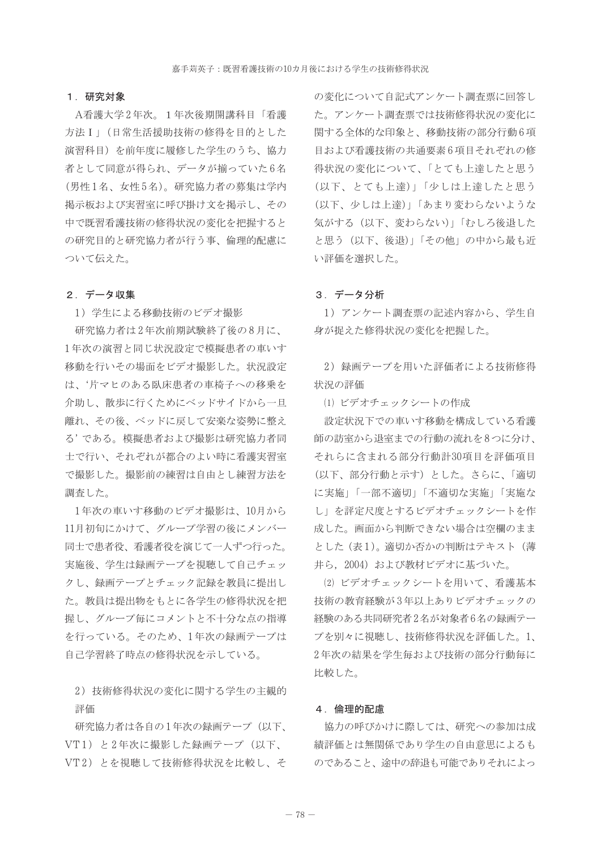#### 1. 研究対象

A看護大学2年次。1年次後期開講科目「看護 方法Ⅰ」(日常生活援助技術の修得を目的とした 演習科目) を前年度に履修した学生のうち、協力 者として同意が得られ、データが揃っていた6名 (男性1名、女性5名)。研究協力者の募集は学内 掲示板および実習室に呼び掛け文を掲示し、その 中で既習看護技術の修得状況の変化を把握すると の研究目的と研究協力者が行う事、倫理的配慮に ついて伝えた。

# 2. データ収集

1) 学生による移動技術のビデオ撮影

研究協力者は2年次前期試験終了後の8月に、 1年次の演習と同じ状況設定で模擬患者の車いす 移動を行いその場面をビデオ撮影した。状況設定 は、'片マヒのある臥床患者の車椅子への移乗を 介助し、散歩に行くためにベッドサイドから一旦 離れ、その後、ベッドに戻して安楽な姿勢に整え る'である。 模擬患者および撮影は研究協力者同 士で行い、それぞれが都合のよい時に看護実習室 で撮影した。撮影前の練習は自由とし練習方法を 調査した。

1年次の車いす移動のビデオ撮影は、10月から 11月初旬にかけて、グループ学習の後にメンバー 同士で患者役、看護者役を演じて一人ずつ行った。 実施後、学生は録画テープを視聴して自己チェッ クし、録画テープとチェック記録を教員に提出し た。教員は提出物をもとに各学生の修得状況を把 握し、グループ毎にコメントと不十分な点の指導 を行っている。そのため、1年次の録画テープは 自己学習終了時点の修得状況を示している。

2) 技術修得状況の変化に関する学生の主観的 評価

研究協力者は各自の1年次の録画テープ (以下、 VT1) と2年次に撮影した録画テープ (以下、 VT2) とを視聴して技術修得状況を比較し、そ の変化について自記式アンケート調査票に回答し た。アンケート調査票では技術修得状況の変化に 関する全体的な印象と、移動技術の部分行動6項 目および看護技術の共通要素6項目それぞれの修 得状況の変化について、「とても上達したと思う (以下、とても上達)」「少しは上達したと思う (以下、少しは上達)」「あまり変わらないような 気がする(以下、変わらない)」「むしろ後退した と思う(以下、後退)」「その他」の中から最も近 い評価を選択した。

#### 3. データ分析

1) アンケート調査票の記述内容から、学生自 身が捉えた修得状況の変化を把握した。

2) 録画テープを用いた評価者による技術修得 状況の評価

(1) ビデオチェックシートの作成

設定状況下での車いす移動を構成している看護 師の訪室から退室までの行動の流れを8つに分け、 それらに含まれる部分行動計30項目を評価項目 (以下、部分行動と示す)とした。さらに、「適切 に実施」「一部不適切」「不適切な実施」「実施な し」を評定尺度とするビデオチェックシートを作 成した。画面から判断できない場合は空欄のまま とした (表1)。適切か否かの判断はテキスト(薄 井ら、2004) および教材ビデオに基づいた。

(2) ビデオチェックシートを用いて、看護基本 技術の教育経験が3年以上ありビデオチェックの 経験のある共同研究者2名が対象者6名の録画テー プを別々に視聴し、技術修得状況を評価した。1、 2年次の結果を学生毎および技術の部分行動毎に 比較した。

#### 4. 倫理的配慮

協力の呼びかけに際しては、研究への参加は成 績評価とは無関係であり学生の自由意思によるも のであること、途中の辞退も可能でありそれによっ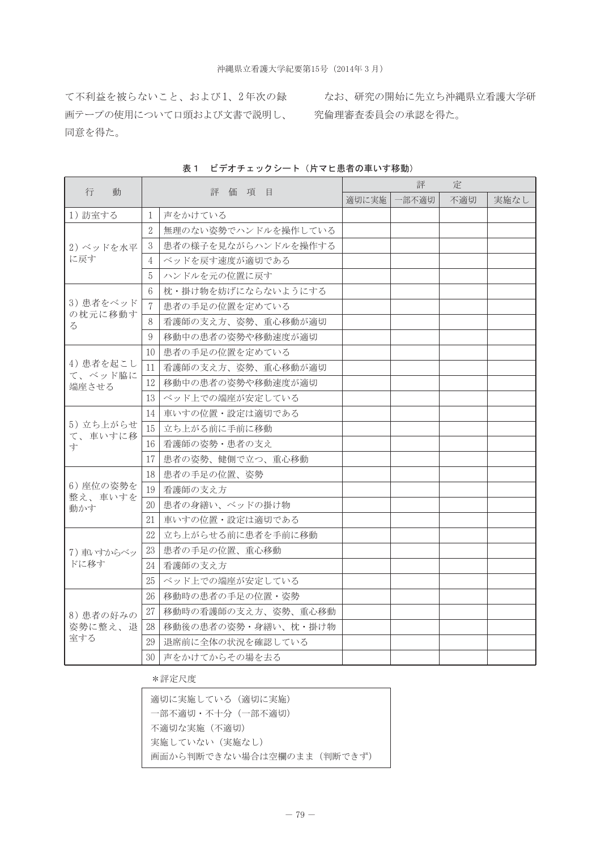て不利益を被らないこと、および1、2年次の録 なお、研究の開始に先立ち沖縄県立看護大学研 画テープの使用について口頭および文書で説明し、 究倫理審査委員会の承認を得た。 同意を得た。

| 行                    | 動       |                 | 評価項目                | 定<br>評 |      |     |      |  |  |  |  |
|----------------------|---------|-----------------|---------------------|--------|------|-----|------|--|--|--|--|
|                      |         |                 |                     | 適切に実施  | 部不適切 | 不適切 | 実施なし |  |  |  |  |
| 1) 訪室する              |         | 1               | 声をかけている             |        |      |     |      |  |  |  |  |
|                      |         | $\overline{2}$  | 無理のない姿勢でハンドルを操作している |        |      |     |      |  |  |  |  |
| 2)ベッドを水平             |         | 3               | 患者の様子を見ながらハンドルを操作する |        |      |     |      |  |  |  |  |
| に戻す                  |         | 4               | ベッドを戻す速度が適切である      |        |      |     |      |  |  |  |  |
|                      |         | 5               | ハンドルを元の位置に戻す        |        |      |     |      |  |  |  |  |
|                      |         | $6\overline{6}$ | 枕・掛け物を妨げにならないようにする  |        |      |     |      |  |  |  |  |
| 3) 患者をベッド<br>の枕元に移動す |         | 7               | 患者の手足の位置を定めている      |        |      |     |      |  |  |  |  |
| $\lesssim$           |         | 8               | 看護師の支え方、姿勢、重心移動が適切  |        |      |     |      |  |  |  |  |
|                      |         | 9               | 移動中の患者の姿勢や移動速度が適切   |        |      |     |      |  |  |  |  |
|                      |         | 10              | 患者の手足の位置を定めている      |        |      |     |      |  |  |  |  |
| 4) 患者を起こし            | て、ベッド脇に | 11              | 看護師の支え方、姿勢、重心移動が適切  |        |      |     |      |  |  |  |  |
| 端座させる                |         | 12              | 移動中の患者の姿勢や移動速度が適切   |        |      |     |      |  |  |  |  |
|                      |         | 13              | ベッド上での端座が安定している     |        |      |     |      |  |  |  |  |
|                      | て、車いすに移 | 14              | 車いすの位置・設定は適切である     |        |      |     |      |  |  |  |  |
| 5)立ち上がらせ             |         | 15              | 立ち上がる前に手前に移動        |        |      |     |      |  |  |  |  |
| 寸                    |         | 16              | 看護師の姿勢・患者の支え        |        |      |     |      |  |  |  |  |
|                      |         | 17              | 患者の姿勢、健側で立つ、重心移動    |        |      |     |      |  |  |  |  |
|                      |         | 18              | 患者の手足の位置、姿勢         |        |      |     |      |  |  |  |  |
| 6) 座位の姿勢を<br>整え、車いすを |         | 19              | 看護師の支え方             |        |      |     |      |  |  |  |  |
| 動かす                  |         | 20              | 患者の身繕い、ベッドの掛け物      |        |      |     |      |  |  |  |  |
|                      |         | 21              | 車いすの位置・設定は適切である     |        |      |     |      |  |  |  |  |
|                      |         | 22              | 立ち上がらせる前に患者を手前に移動   |        |      |     |      |  |  |  |  |
| 7) 車いすからベッ           |         | 23              | 患者の手足の位置、重心移動       |        |      |     |      |  |  |  |  |
| ドに移す                 |         | 24              | 看護師の支え方             |        |      |     |      |  |  |  |  |
|                      |         | 25              | ベッド上での端座が安定している     |        |      |     |      |  |  |  |  |
|                      |         | 26              | 移動時の患者の手足の位置・姿勢     |        |      |     |      |  |  |  |  |
| 8) 患者の好みの            |         | $27\,$          | 移動時の看護師の支え方、姿勢、重心移動 |        |      |     |      |  |  |  |  |
| 姿勢に整え、退              |         | 28              | 移動後の患者の姿勢・身繕い、枕・掛け物 |        |      |     |      |  |  |  |  |
| 室する                  |         | 29              | 退席前に全体の状況を確認している    |        |      |     |      |  |  |  |  |
|                      |         | 30              | 声をかけてからその場を去る       |        |      |     |      |  |  |  |  |

表1 ビデオチェックシート (片マヒ患者の車いす移動)

# \*評定尺度

| 適切に実施している(適切に実施)          |
|---------------------------|
| 一部不適切・不十分(一部不適切)          |
| 不適切な実施(不適切)               |
| 実施していない(実施なし)             |
| 画面から判断できない場合は空欄のまま(判断できず) |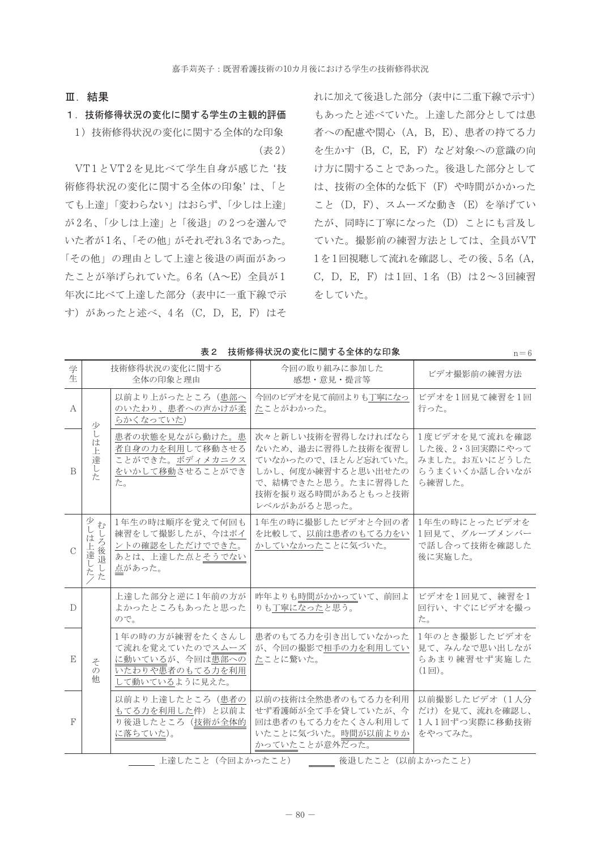### Ⅲ. 結果

#### 1. 技術修得状況の変化に関する学生の主観的評価

1) 技術修得状況の変化に関する全体的な印象 (表2)

VT1とVT2を見比べて学生自身が感じた'技 術修得状況の変化に関する全体の印象'は、「と ても上達」「変わらない」はおらず、「少しは上達」 が2名、「少しは上達」と「後退」の2つを選んで いた者が1名、「その他」がそれぞれ3名であった。 「その他」の理由として上達と後退の両面があっ たことが挙げられていた。6名 (A~E) 全員が1 年次に比べて上達した部分(表中に一重下線で示 す) があったと述べ、4名 (C, D, E, F) はそ

れに加えて後退した部分(表中に二重下線で示す) もあったと述べていた。上達した部分としては患 者への配慮や関心 (A, B, E)、患者の持てる力 を生かす (B, C, E, F) など対象への意識の向 け方に関することであった。後退した部分として は、技術の全体的な低下 (F) や時間がかかった こと (D, F)、スムーズな動き (E) を挙げてい たが、同時に丁寧になった (D) ことにも言及し ていた。撮影前の練習方法としては、全員がVT 1を1回視聴して流れを確認し、その後、5名 (A, C, D, E, F) は1回、1名 (B) は2~3回練習 をしていた。

|               |                                                        |                                                                                            | <b>IA 11 12 14 IAV 2009 32 10 10 AI 7 8 3 20 20 THT 8 7 8 FT</b>                                                                                  |                                                                             |
|---------------|--------------------------------------------------------|--------------------------------------------------------------------------------------------|---------------------------------------------------------------------------------------------------------------------------------------------------|-----------------------------------------------------------------------------|
| 学<br>牛        |                                                        | 技術修得状況の変化に関する<br>全体の印象と理由                                                                  | 今回の取り組みに参加した<br>感想・意見・提言等                                                                                                                         | ビデオ撮影前の練習方法                                                                 |
| A             | 小                                                      | 以前より上がったところ(患部へ<br>のいたわり、患者への声かけが柔<br>らかくなっていた)                                            | 今回のビデオを見て前回よりも丁寧になっ<br>たことがわかった。                                                                                                                  | ビデオを1回見て練習を1回<br>行った。                                                       |
| B             | U<br>は<br>上<br>達<br>し<br>た                             | 患者の状態を見ながら動けた。患<br>者自身の力を利用して移動させる<br>ことができた。ボディメカニクス<br>をいかして移動させることができ<br>た。             | 次々と新しい技術を習得しなければなら<br>ないため、過去に習得した技術を復習し<br>ていなかったので、ほとんど忘れていた。<br>しかし、何度か練習すると思い出せたの<br>で、結構できたと思う。たまに習得した<br>技術を振り返る時間があるともっと技術<br>レベルがあがると思った。 | 1度ビデオを見て流れを確認<br>した後、2・3回実際にやって<br>みました。お互いにどうした<br>らうまくいくか話し合いなが<br>ら練習した。 |
| $\mathcal{C}$ | 少<br>$\dot{\tau}$<br>l<br>は<br>ろ後退<br>Ě<br>達<br>た<br>た | 1年生の時は順序を覚えて何回も<br>練習をして撮影したが、今はポイ<br>ントの確認をしただけでできた。<br>あとは、上達した点とそうでない<br>点があった。         | 1年生の時に撮影したビデオと今回の者<br>を比較して、以前は患者のもてる力をい<br>かしていなかったことに気づいた。                                                                                      | 1年生の時にとったビデオを<br>1回見て、グループメンバー<br>で話し合って技術を確認した<br>後に実施した。                  |
| $\mathcal{D}$ |                                                        | 上達した部分と逆に1年前の方が<br>よかったところもあったと思った<br>ので。                                                  | 昨年よりも時間がかかっていて、前回よ<br>りも丁寧になったと思う。                                                                                                                | ビデオを1回見て、練習を1<br>回行い、すぐにビデオを撮っ<br>た。                                        |
| Ε             | そ<br>$\mathcal{O}$<br>他                                | 1年の時の方が練習をたくさんし<br>て流れを覚えていたのでスムーズ<br>に動いているが、今回は患部への<br>いたわりや患者のもてる力を利用<br>して動いているように見えた。 | 患者のもてる力を引き出していなかった<br>が、今回の撮影で相手の力を利用してい<br>たことに驚いた。                                                                                              | 1年のとき撮影したビデオを<br>見て、みんなで思い出しなが<br>らあまり練習せず実施した<br>$(1)$ 。                   |
| $\mathbb{F}$  |                                                        | 以前より上達したところ(患者の<br>もてる力を利用した件)と以前よ<br>り後退したところ (技術が全体的<br>に落ちていた)。                         | 以前の技術は全然患者のもてる力を利用<br>せず看護師が全て手を貸していたが、今<br>回は患者のもてる力をたくさん利用して<br>いたことに気づいた。時間が以前よりか<br>かっていたことが意外だった。                                            | 以前撮影したビデオ (1人分<br>だけ)を見て、流れを確認し、<br>1人1回ずつ実際に移動技術<br>をやってみた。                |
|               |                                                        | ト法1 たゝし (△同トかったゝし)                                                                         | 体混したこと (円前上かったこと)                                                                                                                                 |                                                                             |

表2 技術修得状況の変化に関する全体的な印象

 $\overline{a} = c$ 

- 上理したこと(今回よかったこと) ───── 後退したこと(以前よかったこと)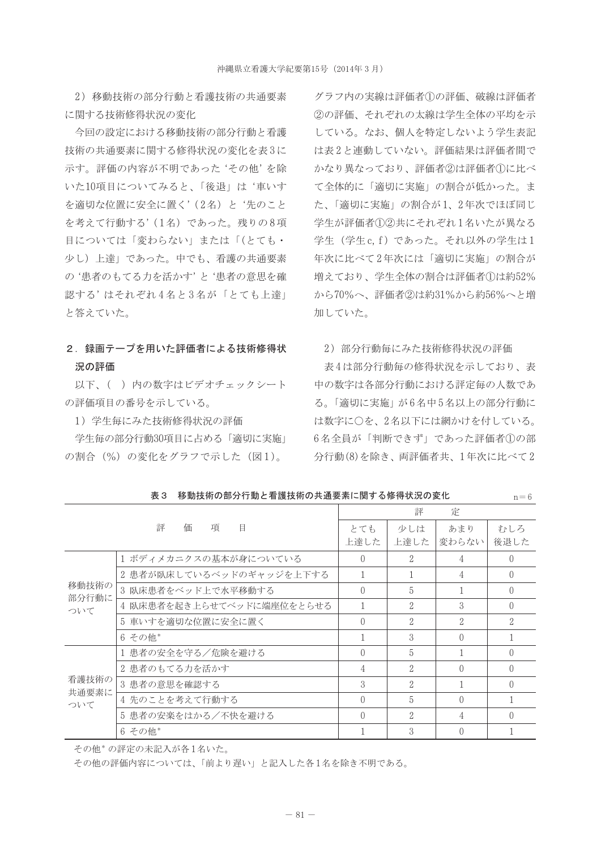2) 移動技術の部分行動と看護技術の共通要素 に関する技術修得状況の変化

今回の設定における移動技術の部分行動と看護 技術の共通要素に関する修得状況の変化を表3に 示す。評価の内容が不明であった'その他'を除 いた10項目についてみると、「後退」は'車いす を適切な位置に安全に置く'(2名)と'先のこと を考えて行動する'(1名) であった。残りの8項 目については「変わらない」または「(とても・ 少し)上達」であった。中でも、看護の共通要素 の'患者のもてる力を活かす'と'患者の意思を確 認する'はそれぞれ4名と3名が「とても上達」 と答えていた。

# 2. 録画テープを用いた評価者による技術修得状 況の評価

以下、()内の数字はビデオチェックシート の評価項目の番号を示している。

1) 学生毎にみた技術修得状況の評価

学生毎の部分行動30項目に占める「適切に実施」 の割合 (%) の変化をグラフで示した (図1)。

グラフ内の実線は評価者(1)の評価、破線は評価者 2の評価、それぞれの太線は学生全体の平均を示 している。なお、個人を特定しないよう学生表記 は表2と連動していない。評価結果は評価者間で かなり異なっており、評価者2は評価者1に比べ て全体的に「適切に実施」の割合が低かった。ま た、「適切に実施」の割合が1、2年次でほぼ同じ 学生が評価者12半にそれぞれ1名いたが異なる 学生 (学生c.f) であった。それ以外の学生は1 年次に比べて2年次には「適切に実施」の割合が 増えており、学生全体の割合は評価者1)は約52% から70%へ、評価者2は約31%から約56%へと増 加していた。

### 2) 部分行動毎にみた技術修得状況の評価

表4は部分行動毎の修得状況を示しており、表 中の数字は各部分行動における評定毎の人数であ る。「適切に実施」が6名中5名以上の部分行動に は数字に〇を、2名以下には網かけを付している。 6名全員が「判断できず」であった評価者①の部 分行動(8)を除き、両評価者共、1年次に比べて2

 $n - \beta$ 

|                       |                           | 評<br>定        |                |                  |               |  |  |  |  |  |  |  |
|-----------------------|---------------------------|---------------|----------------|------------------|---------------|--|--|--|--|--|--|--|
|                       | 評<br>項<br>価<br>▤          | とても<br>上達した   | 少しは<br>上達した    | あまり<br>変わらない     | むしろ<br>後退した   |  |  |  |  |  |  |  |
|                       | 1 ボディメカニクスの基本が身についている     | $\bigcap$     | $\mathcal{D}$  | 4                | $\Omega$      |  |  |  |  |  |  |  |
| 移動技術の<br>部分行動に<br>ついて | 2 患者が臥床しているベッドのギャッジを上下する  |               |                | 4                | $\Omega$      |  |  |  |  |  |  |  |
|                       | 3 臥床患者をベッド上で水平移動する        | $\bigcap$     | 5              |                  | $\Omega$      |  |  |  |  |  |  |  |
|                       | 4 臥床患者を起き上らせてベッドに端座位をとらせる |               | $\mathcal{D}$  | $\Omega$         | 0             |  |  |  |  |  |  |  |
|                       | 5 車いすを適切な位置に安全に置く         | $\bigcap$     | $\mathcal{L}$  | $\mathcal{D}$    | $\mathcal{D}$ |  |  |  |  |  |  |  |
|                       | 6 その他*                    |               | 3              | $\bigcap$        |               |  |  |  |  |  |  |  |
|                       | 1 患者の安全を守る/危険を避ける         | $\bigcap$     | 5              |                  | $\bigcap$     |  |  |  |  |  |  |  |
| 看護技術の<br>共通要素に<br>ついて | 2 患者のもてる力を活かす             | 4             | $\overline{2}$ | $\bigcap$        | $\bigcap$     |  |  |  |  |  |  |  |
|                       | 3 患者の意思を確認する              | $\mathcal{S}$ | $\overline{2}$ |                  | $\Omega$      |  |  |  |  |  |  |  |
|                       | 4 先のことを考えて行動する            | $\bigcap$     | 5              | $\left( \right)$ |               |  |  |  |  |  |  |  |
|                       | 5 患者の安楽をはかる/不快を避ける        | $\bigcap$     | 2              | 4                | $\Omega$      |  |  |  |  |  |  |  |
|                       | 6 その他*                    |               | $\Omega$       | $\bigcap$        |               |  |  |  |  |  |  |  |

表3 移動技術の部分行動と看護技術の共通要素に関する修得状況の変化

その他\*の評定の未記入が各1名いた。

その他の評価内容については、「前より遅い」と記入した各1名を除き不明である。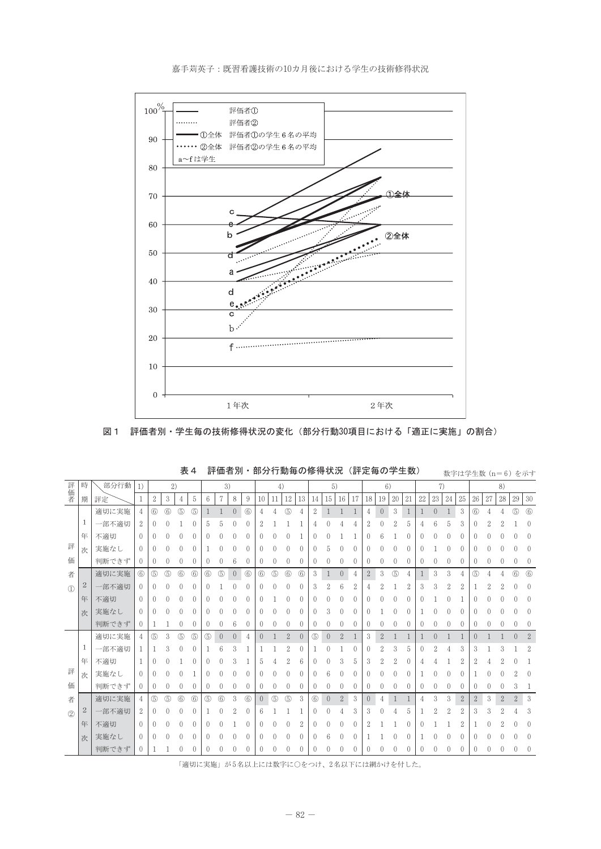

嘉手苅英子:既習看護技術の10カ月後における学生の技術修得状況

図1 評価者別・学生毎の技術修得状況の変化(部分行動30項目における「適正に実施」の割合)

| 評価者           | 時            | 部分行動  | 1)          |                  | 2)          |             |                  | 3)       |             |                |             | 4)               |                  |                | 5)               |                |                |                |          | 6)               |                |          |                  | 7)               |          |    | 8)               |                  |          |              |                |                |
|---------------|--------------|-------|-------------|------------------|-------------|-------------|------------------|----------|-------------|----------------|-------------|------------------|------------------|----------------|------------------|----------------|----------------|----------------|----------|------------------|----------------|----------|------------------|------------------|----------|----|------------------|------------------|----------|--------------|----------------|----------------|
|               | 期            | 評定    |             | $\boldsymbol{2}$ | 3           | 4           | 5                | 6        | 7           | 8              | 9           | 10               | 11               | 12             | 13               | 14             | 15             | 16             | 17       | 18               | 19             | 20       | 21               | 22               | 23       | 24 | 25               | 26               | 27       | 28           | 29             | $30\,$         |
|               |              | 適切に実施 | 4           | $\circled{6}$    | $\circled6$ | (5)         | 6                |          |             | $\overline{0}$ | $\circled6$ | 4                |                  | $\circledS$    | 4                | $\overline{2}$ | $\mathbf{1}$   |                |          | 4                | $\overline{0}$ | 3        | $\mathbf{1}$     |                  | $\Omega$ |    | 3                | 6                |          |              | $\circledS$    | $\circled{6}$  |
|               | 1            | 一部不適切 | 2           | $\left( \right)$ |             |             | 0                | 5        |             |                |             |                  |                  |                |                  |                |                |                |          | 2                |                |          | 5                |                  |          |    | 3                |                  |          |              |                |                |
|               | 年            | 不適切   | $\left($    | $\Omega$         |             | 0           | 0                |          |             |                | O           |                  |                  |                |                  |                |                |                |          | 0                | 6              |          | $\left($         |                  |          |    | 0                | $^{()}$          |          |              |                | O              |
| 評             | 次            | 実施なし  | 0           | $\left( \right)$ |             |             | 0                |          |             |                |             | U                |                  |                |                  |                |                |                | 0        |                  |                |          | $\left($         |                  |          |    |                  |                  |          |              |                | $\Omega$       |
| 価             |              | 判断できず | 0           | $\left($         |             | 0           | 0                |          |             | 6              | 0           | 0                |                  |                | 0                |                |                |                | 0        |                  |                |          | $\left($         |                  |          |    | $\left( \right)$ |                  |          |              |                |                |
| 者             |              | 適切に実施 | $\circled6$ | 5                | $\circledS$ | $6$         | $\circled6$      | $6$      | $\circledS$ | $\overline{0}$ | $\circled6$ | $6$              | $\circledS$      | $6$            | $\circled6$      | 3              |                | $\overline{0}$ | 4        | $\overline{2}$   | 3              | (5)      | 4                |                  | 3        | 3  |                  | (5)              |          |              | $6$            | $6$            |
| $\mathbb{O}$  | $\mathbf{2}$ | 一部不適切 | 0           | $\left( \right)$ |             |             | $\left( \right)$ |          |             |                |             |                  |                  |                | $\left( \right)$ | 3              |                | 6              | 2        |                  |                |          | 2                | 3                | 3        | 2  | 2                |                  |          |              |                | $\Omega$       |
|               | 年            | 不適切   | $\left($    |                  |             |             | 0                |          |             |                |             |                  |                  |                |                  |                |                |                | 0        |                  |                |          | $\left( \right)$ |                  |          |    |                  |                  |          |              |                |                |
|               | 次            | 実施なし  | $\left($    | $\left( \right)$ |             |             | $\left( \right)$ |          |             |                |             |                  |                  |                |                  |                |                |                | $^{0}$   |                  |                |          | $\left( \right)$ |                  |          |    |                  |                  |          |              |                |                |
|               |              | 判断できず | 0           |                  |             | 0           | 0                | $\left($ | 0           | 6              | 0           | $\left($         | 0                |                | 0                |                |                |                | $\left($ | $\left($         | $\left($       | $\left($ | $\mathbf{0}$     | $\left( \right)$ |          | 0  | $\cup$           | $\left($         | $\Omega$ |              |                | $\Omega$       |
|               |              | 適切に実施 | 4           | 5                | 3           | $\circledS$ | $\circledS$      | 5        | $\theta$    | $\overline{0}$ | 4           | $\Omega$         |                  | $\overline{2}$ | $\Omega$         | (5)            | $\overline{0}$ | $\mathbf{2}$   |          | 3                | $\overline{2}$ |          |                  |                  | $\Omega$ |    |                  | $\left( \right)$ |          |              | $\Omega$       | $\overline{2}$ |
|               | 1            | 一部不適切 |             |                  | 3           | 0           | 0                |          | 6           | 3              |             |                  |                  | 2              | 0                |                |                |                | 0        | $\left( \right)$ | 2              | 3        | 5                |                  | n        |    | 3                | 3                |          |              |                | 2              |
|               | 年            | 不適切   |             | $\left( \right)$ |             |             | 0                |          |             | 3              |             | 5                |                  | 2              | 6                |                |                | 3              | 5        | 3                | 9              | 2        | $\left($         |                  |          |    | 2                | 2                |          |              |                |                |
| 評             | 次            | 実施なし  | 0           | $\left( \right)$ |             |             |                  |          |             |                |             |                  |                  |                |                  |                |                |                | 0        |                  |                |          | $\Omega$         |                  |          |    |                  |                  |          |              |                |                |
| 価             |              | 判断できず | $\left($    | $\theta$         |             | $^{0}$      | 0                |          |             |                | $^{(1)}$    | $\left( \right)$ | $\left( \right)$ |                | 0                |                |                |                | $\left($ | $\left( \right)$ |                | $\Omega$ | $\theta$         | $\left($         |          |    | $^{(1)}$         | $\left( \right)$ |          |              | 3              |                |
| 者             |              | 適切に実施 | 4           | (5)              | $\circledS$ | $6$         | $6$              | (5)      | $6$         | 3              | $6$         | $\overline{0}$   | $\circledS$      | $\circledS$    | 3                | (6)            | $\left($       | $\overline{2}$ | 3        | $\overline{0}$   | 4              | 1        |                  |                  | 3        | 3  | $\mathbf{2}$     | $\overline{2}$   | 3        | $\mathbf{2}$ | $\overline{2}$ | 3              |
| $\circled{2}$ | $\mathbf{2}$ | 一部不適切 | 2           | $\left($         |             | 0           | $\left( \right)$ |          |             | 2              | 0           | 6                |                  |                |                  |                |                |                | 3        | 3                |                |          | 5                |                  |          | 2  | 2                | 3                | 3        | 2            |                | 3              |
|               | 年            | 不適切   | 0           |                  |             |             | 0                |          |             |                |             |                  |                  |                |                  |                |                |                | 0        |                  |                |          | 0                |                  |          |    | 2                |                  |          |              |                |                |
|               | 次            | 実施なし  | $\left($    | $\left( \right)$ |             |             | $\left( \right)$ |          |             |                |             | $\left( \right)$ |                  |                | $\left( \right)$ |                |                |                | $^{(1)}$ |                  |                |          | $\left( \right)$ |                  |          |    |                  |                  |          |              |                |                |
|               |              | 判断できず | 0           |                  |             |             | 0                | $\theta$ |             |                | 0           | 0                |                  |                | 0                |                |                |                | 0        |                  |                |          | $^{0}$           | $\left( \right)$ |          |    | 0                | $^{0}$           | 0        |              | 0              | $\theta$       |

表4 評価者別・部分行動毎の修得状況 (評定毎の学生数)

数字は学生数 (n=6) を示す

「適切に実施」が5名以上には数字に〇をつけ、2名以下には網かけを付した。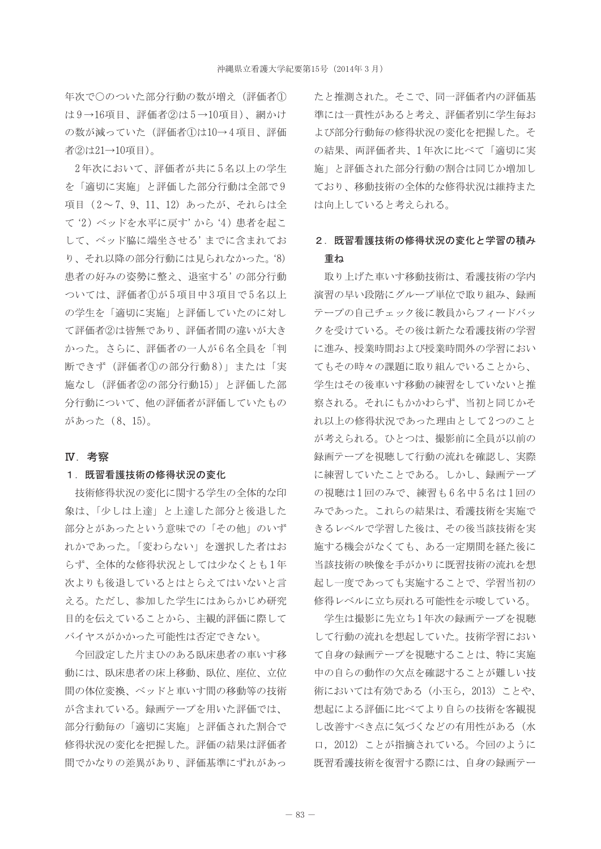年次で〇のついた部分行動の数が増え(評価者① は9→16項目、評価者2は5→10項目)、網かけ の数が減っていた (評価者①は10→4項目、評価 者②は21→10項目)。

2年次において、評価者が共に5名以上の学生 を「滴切に実施」と評価した部分行動は全部で9 項目 (2~7、9、11、12) あったが、それらは全 て '2) ベッドを水平に戻す' から '4) 患者を起こ して、ベッド脇に端坐させる'までに含まれてお り、それ以降の部分行動には見られなかった。'8) 患者の好みの姿勢に整え、退室する'の部分行動 ついては、評価者1が5項目中3項目で5名以上 の学生を「適切に実施」と評価していたのに対し て評価者2は皆無であり、評価者間の違いが大き かった。さらに、評価者の一人が6名全員を「判 断できず (評価者10の部分行動8)」または「実 施なし (評価者2の部分行動15)」と評価した部 分行動について、他の評価者が評価していたもの があった (8、15)。

#### IV. 考察

#### 1. 既習看護技術の修得状況の変化

技術修得状況の変化に関する学生の全体的な印 象は、「少しは上達」と上達した部分と後退した 部分とがあったという意味での「その他」のいず れかであった。「変わらない」を選択した者はお らず、全体的な修得状況としては少なくとも1年 次よりも後退しているとはとらえてはいないと言 える。ただし、参加した学生にはあらかじめ研究 目的を伝えていることから、主観的評価に際して バイヤスがかかった可能性は否定できない。

今回設定した片まひのある臥床患者の車いす移 動には、臥床患者の床上移動、臥位、座位、立位 間の体位変換、ベッドと車いす間の移動等の技術 が含まれている。録画テープを用いた評価では、 部分行動毎の「適切に実施」と評価された割合で 修得状況の変化を把握した。評価の結果は評価者 間でかなりの差異があり、評価基準にずれがあっ

たと推測された。そこで、同一評価者内の評価基 準には一貫性があると考え、評価者別に学生毎お よび部分行動毎の修得状況の変化を把握した。そ の結果、両評価者共、1年次に比べて「滴切に実 施」と評価された部分行動の割合は同じか増加し ており、移動技術の全体的な修得状況は維持また は向上していると考えられる。

# 2. 既習看護技術の修得状況の変化と学習の積み 重ね

取り上げた車いす移動技術は、看護技術の学内 演習の早い段階にグループ単位で取り組み、録画 テープの自己チェック後に教員からフィードバッ クを受けている。その後は新たな看護技術の学習 に進み、授業時間および授業時間外の学習におい てもその時々の課題に取り組んでいることから、 学生はその後車いす移動の練習をしていないと推 察される。それにもかかわらず、当初と同じかそ れ以上の修得状況であった理由として2つのこと が考えられる。ひとつは、撮影前に全員が以前の 録画テープを視聴して行動の流れを確認し、実際 に練習していたことである。しかし、録画テープ の視聴は1回のみで、練習も6名中5名は1回の みであった。これらの結果は、看護技術を実施で きるレベルで学習した後は、その後当該技術を実 施する機会がなくても、ある一定期間を経た後に 当該技術の映像を手がかりに既習技術の流れを想 起し一度であっても実施することで、学習当初の 修得レベルに立ち戻れる可能性を示唆している。

学生は撮影に先立ち1年次の録画テープを視聴 して行動の流れを想起していた。技術学習におい て自身の録画テープを視聴することは、特に実施 中の自らの動作の欠点を確認することが難しい技 術においては有効である (小玉ら, 2013) ことや、 想起による評価に比べてより自らの技術を客観視 し改善すべき点に気づくなどの有用性がある(水 口, 2012) ことが指摘されている。今回のように 既習看護技術を復習する際には、自身の録画テー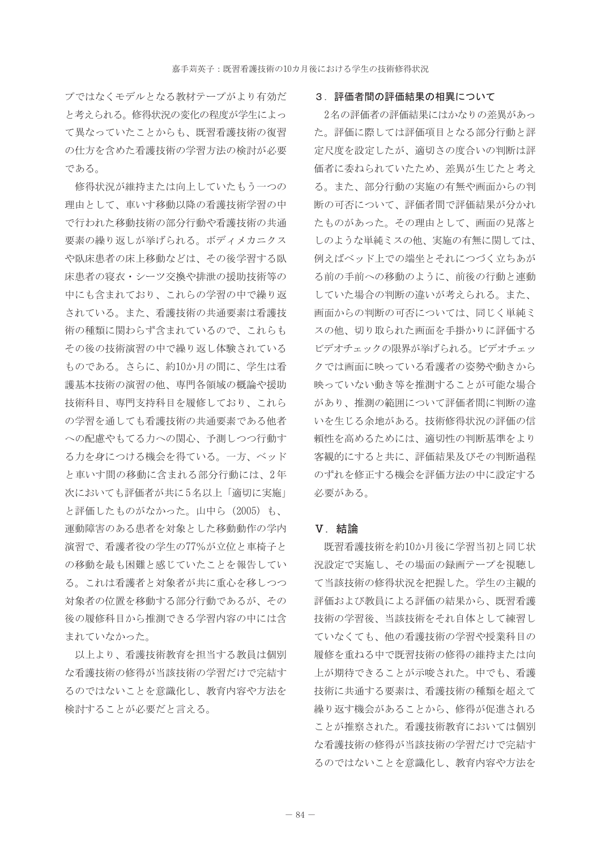プではなくモデルとなる教材テープがより有効だ と考えられる。修得状況の変化の程度が学生によっ て異なっていたことからも、既習看護技術の復習 の仕方を含めた看護技術の学習方法の検討が必要 である。

修得状況が維持または向上していたもう一つの 理由として、車いす移動以降の看護技術学習の中 で行われた移動技術の部分行動や看護技術の共通 要素の繰り返しが挙げられる。ボディメカニクス や臥床患者の床上移動などは、その後学習する臥 床患者の寝衣・シーツ交換や排泄の援助技術等の 中にも含まれており、これらの学習の中で繰り返 されている。また、看護技術の共通要素は看護技 術の種類に関わらず含まれているので、これらも その後の技術演習の中で繰り返し体験されている ものである。さらに、約10か月の間に、学生は看 護基本技術の演習の他、専門各領域の概論や援助 技術科目、専門支持科目を履修しており、これら の学習を通しても看護技術の共通要素である他者 への配慮やもてる力への関心、予測しつつ行動す る力を身につける機会を得ている。一方、ベッド と車いす間の移動に含まれる部分行動には、2年 次においても評価者が共に5名以上「適切に実施」 と評価したものがなかった。山中ら (2005) も、 運動障害のある患者を対象とした移動動作の学内 演習で、看護者役の学生の77%が立位と車椅子と の移動を最も困難と感じていたことを報告してい る。これは看護者と対象者が共に重心を移しつつ 対象者の位置を移動する部分行動であるが、その 後の履修科目から推測できる学習内容の中には含 まれていなかった。

以上より、看護技術教育を担当する教員は個別 な看護技術の修得が当該技術の学習だけで完結す るのではないことを意識化し、教育内容や方法を 検討することが必要だと言える。

#### 3. 評価者間の評価結果の相異について

2名の評価者の評価結果にはかなりの差異があっ た。評価に際しては評価項目となる部分行動と評 定尺度を設定したが、適切さの度合いの判断は評 価者に委ねられていたため、差異が生じたと考え る。また、部分行動の実施の有無や画面からの判 断の可否について、評価者間で評価結果が分かれ たものがあった。その理由として、画面の見落と しのような単純ミスの他、実施の有無に関しては、 例えばベッド上での端坐とそれにつづく立ちあが る前の手前への移動のように、前後の行動と連動 していた場合の判断の違いが考えられる。また、 画面からの判断の可否については、同じく単純ミ スの他、切り取られた画面を手掛かりに評価する ビデオチェックの限界が挙げられる。ビデオチェッ クでは画面に映っている看護者の姿勢や動きから 映っていない動き等を推測することが可能な場合 があり、推測の範囲について評価者間に判断の違 いを生じる余地がある。技術修得状況の評価の信 頼性を高めるためには、適切性の判断基準をより 客観的にすると共に、評価結果及びその判断過程 のずれを修正する機会を評価方法の中に設定する 必要がある.

### V. 結論

既習看護技術を約10か月後に学習当初と同じ状 況設定で実施し、その場面の録画テープを視聴し て当該技術の修得状況を把握した。学生の主観的 評価および教員による評価の結果から、既習看護 技術の学習後、当該技術をそれ自体として練習し ていなくても、他の看護技術の学習や授業科目の 履修を重ねる中で既習技術の修得の維持または向 上が期待できることが示唆された。中でも、看護 技術に共通する要素は、看護技術の種類を超えて 繰り返す機会があることから、修得が促進される ことが推察された。看護技術教育においては個別 な看護技術の修得が当該技術の学習だけで完結す るのではないことを意識化し、教育内容や方法を